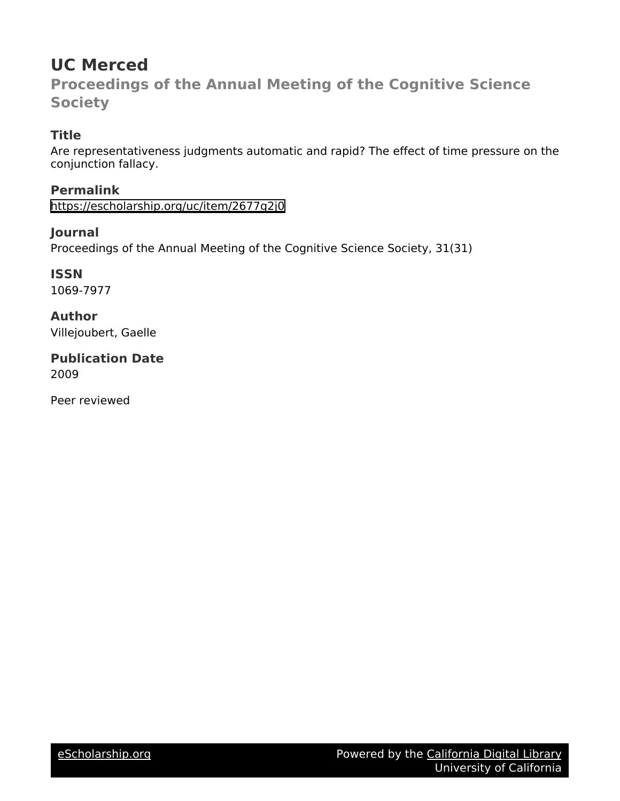# **UC Merced**

**Proceedings of the Annual Meeting of the Cognitive Science Society**

# **Title**

Are representativeness judgments automatic and rapid? The effect of time pressure on the conjunction fallacy.

**Permalink** <https://escholarship.org/uc/item/2677g2j0>

## **Journal**

Proceedings of the Annual Meeting of the Cognitive Science Society, 31(31)

**ISSN** 1069-7977

**Author** Villejoubert, Gaelle

**Publication Date** 2009

Peer reviewed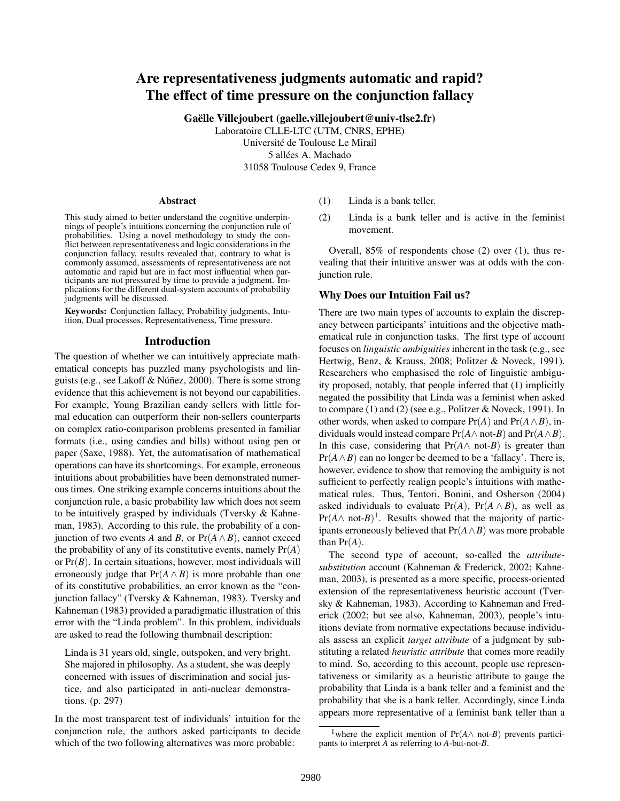### Are representativeness judgments automatic and rapid? The effect of time pressure on the conjunction fallacy

Gaëlle Villejoubert (gaelle.villejoubert@univ-tlse2.fr)

Laboratoire CLLE-LTC (UTM, CNRS, EPHE) Université de Toulouse Le Mirail 5 allées A. Machado 31058 Toulouse Cedex 9, France

#### Abstract

This study aimed to better understand the cognitive underpinnings of people's intuitions concerning the conjunction rule of probabilities. Using a novel methodology to study the conflict between representativeness and logic considerations in the conjunction fallacy, results revealed that, contrary to what is commonly assumed, assessments of representativeness are not automatic and rapid but are in fact most influential when participants are not pressured by time to provide a judgment. Implications for the different dual-system accounts of probability judgments will be discussed.

Keywords: Conjunction fallacy, Probability judgments, Intuition, Dual processes, Representativeness, Time pressure.

#### Introduction

The question of whether we can intuitively appreciate mathematical concepts has puzzled many psychologists and linguists (e.g., see Lakoff & Núñez, 2000). There is some strong evidence that this achievement is not beyond our capabilities. For example, Young Brazilian candy sellers with little formal education can outperform their non-sellers counterparts on complex ratio-comparison problems presented in familiar formats (i.e., using candies and bills) without using pen or paper (Saxe, 1988). Yet, the automatisation of mathematical operations can have its shortcomings. For example, erroneous intuitions about probabilities have been demonstrated numerous times. One striking example concerns intuitions about the conjunction rule, a basic probability law which does not seem to be intuitively grasped by individuals (Tversky & Kahneman, 1983). According to this rule, the probability of a conjunction of two events *A* and *B*, or  $Pr(A \wedge B)$ , cannot exceed the probability of any of its constitutive events, namely  $Pr(A)$ or Pr(*B*). In certain situations, however, most individuals will erroneously judge that  $Pr(A \wedge B)$  is more probable than one of its constitutive probabilities, an error known as the "conjunction fallacy" (Tversky & Kahneman, 1983). Tversky and Kahneman (1983) provided a paradigmatic illustration of this error with the "Linda problem". In this problem, individuals are asked to read the following thumbnail description:

Linda is 31 years old, single, outspoken, and very bright. She majored in philosophy. As a student, she was deeply concerned with issues of discrimination and social justice, and also participated in anti-nuclear demonstrations. (p. 297)

In the most transparent test of individuals' intuition for the conjunction rule, the authors asked participants to decide which of the two following alternatives was more probable:

- (1) Linda is a bank teller.
- (2) Linda is a bank teller and is active in the feminist movement.

Overall, 85% of respondents chose (2) over (1), thus revealing that their intuitive answer was at odds with the conjunction rule.

#### Why Does our Intuition Fail us?

There are two main types of accounts to explain the discrepancy between participants' intuitions and the objective mathematical rule in conjunction tasks. The first type of account focuses on *linguistic ambiguities* inherent in the task (e.g., see Hertwig, Benz, & Krauss, 2008; Politzer & Noveck, 1991). Researchers who emphasised the role of linguistic ambiguity proposed, notably, that people inferred that (1) implicitly negated the possibility that Linda was a feminist when asked to compare (1) and (2) (see e.g., Politzer & Noveck, 1991). In other words, when asked to compare  $Pr(A)$  and  $Pr(A \wedge B)$ , individuals would instead compare  $Pr(A \wedge not-B)$  and  $Pr(A \wedge B)$ . In this case, considering that  $Pr(A \wedge not-B)$  is greater than  $Pr(A \wedge B)$  can no longer be deemed to be a 'fallacy'. There is, however, evidence to show that removing the ambiguity is not sufficient to perfectly realign people's intuitions with mathematical rules. Thus, Tentori, Bonini, and Osherson (2004) asked individuals to evaluate  $Pr(A)$ ,  $Pr(A \wedge B)$ , as well as  $Pr(A \wedge not-B)^1$ . Results showed that the majority of participants erroneously believed that  $Pr(A \wedge B)$  was more probable than  $Pr(A)$ .

The second type of account, so-called the *attributesubstitution* account (Kahneman & Frederick, 2002; Kahneman, 2003), is presented as a more specific, process-oriented extension of the representativeness heuristic account (Tversky & Kahneman, 1983). According to Kahneman and Frederick (2002; but see also, Kahneman, 2003), people's intuitions deviate from normative expectations because individuals assess an explicit *target attribute* of a judgment by substituting a related *heuristic attribute* that comes more readily to mind. So, according to this account, people use representativeness or similarity as a heuristic attribute to gauge the probability that Linda is a bank teller and a feminist and the probability that she is a bank teller. Accordingly, since Linda appears more representative of a feminist bank teller than a

<sup>&</sup>lt;sup>1</sup>where the explicit mention of  $Pr(A \wedge not-B)$  prevents participants to interpret *A* as referring to *A*-but-not-*B*.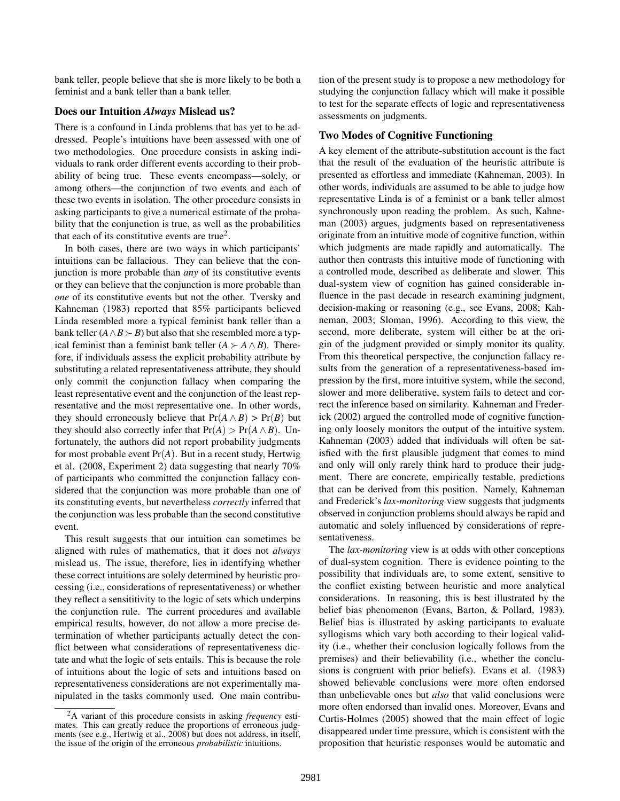bank teller, people believe that she is more likely to be both a feminist and a bank teller than a bank teller.

#### Does our Intuition *Always* Mislead us?

There is a confound in Linda problems that has yet to be addressed. People's intuitions have been assessed with one of two methodologies. One procedure consists in asking individuals to rank order different events according to their probability of being true. These events encompass—solely, or among others—the conjunction of two events and each of these two events in isolation. The other procedure consists in asking participants to give a numerical estimate of the probability that the conjunction is true, as well as the probabilities that each of its constitutive events are true<sup>2</sup>.

In both cases, there are two ways in which participants' intuitions can be fallacious. They can believe that the conjunction is more probable than *any* of its constitutive events or they can believe that the conjunction is more probable than *one* of its constitutive events but not the other. Tversky and Kahneman (1983) reported that 85% participants believed Linda resembled more a typical feminist bank teller than a bank teller  $(A \land B \succ B)$  but also that she resembled more a typical feminist than a feminist bank teller  $(A \succ A \land B)$ . Therefore, if individuals assess the explicit probability attribute by substituting a related representativeness attribute, they should only commit the conjunction fallacy when comparing the least representative event and the conjunction of the least representative and the most representative one. In other words, they should erroneously believe that  $Pr(A \wedge B) > Pr(B)$  but they should also correctly infer that  $Pr(A) > Pr(A \wedge B)$ . Unfortunately, the authors did not report probability judgments for most probable event Pr(*A*). But in a recent study, Hertwig et al. (2008, Experiment 2) data suggesting that nearly 70% of participants who committed the conjunction fallacy considered that the conjunction was more probable than one of its constituting events, but nevertheless *correctly* inferred that the conjunction was less probable than the second constitutive event.

This result suggests that our intuition can sometimes be aligned with rules of mathematics, that it does not *always* mislead us. The issue, therefore, lies in identifying whether these correct intuitions are solely determined by heuristic processing (i.e., considerations of representativeness) or whether they reflect a sensititivity to the logic of sets which underpins the conjunction rule. The current procedures and available empirical results, however, do not allow a more precise determination of whether participants actually detect the conflict between what considerations of representativeness dictate and what the logic of sets entails. This is because the role of intuitions about the logic of sets and intuitions based on representativeness considerations are not experimentally manipulated in the tasks commonly used. One main contribution of the present study is to propose a new methodology for studying the conjunction fallacy which will make it possible to test for the separate effects of logic and representativeness assessments on judgments.

#### Two Modes of Cognitive Functioning

A key element of the attribute-substitution account is the fact that the result of the evaluation of the heuristic attribute is presented as effortless and immediate (Kahneman, 2003). In other words, individuals are assumed to be able to judge how representative Linda is of a feminist or a bank teller almost synchronously upon reading the problem. As such, Kahneman (2003) argues, judgments based on representativeness originate from an intuitive mode of cognitive function, within which judgments are made rapidly and automatically. The author then contrasts this intuitive mode of functioning with a controlled mode, described as deliberate and slower. This dual-system view of cognition has gained considerable influence in the past decade in research examining judgment, decision-making or reasoning (e.g., see Evans, 2008; Kahneman, 2003; Sloman, 1996). According to this view, the second, more deliberate, system will either be at the origin of the judgment provided or simply monitor its quality. From this theoretical perspective, the conjunction fallacy results from the generation of a representativeness-based impression by the first, more intuitive system, while the second, slower and more deliberative, system fails to detect and correct the inference based on similarity. Kahneman and Frederick (2002) argued the controlled mode of cognitive functioning only loosely monitors the output of the intuitive system. Kahneman (2003) added that individuals will often be satisfied with the first plausible judgment that comes to mind and only will only rarely think hard to produce their judgment. There are concrete, empirically testable, predictions that can be derived from this position. Namely, Kahneman and Frederick's *lax-monitoring* view suggests that judgments observed in conjunction problems should always be rapid and automatic and solely influenced by considerations of representativeness.

The *lax-monitoring* view is at odds with other conceptions of dual-system cognition. There is evidence pointing to the possibility that individuals are, to some extent, sensitive to the conflict existing between heuristic and more analytical considerations. In reasoning, this is best illustrated by the belief bias phenomenon (Evans, Barton, & Pollard, 1983). Belief bias is illustrated by asking participants to evaluate syllogisms which vary both according to their logical validity (i.e., whether their conclusion logically follows from the premises) and their believability (i.e., whether the conclusions is congruent with prior beliefs). Evans et al. (1983) showed believable conclusions were more often endorsed than unbelievable ones but *also* that valid conclusions were more often endorsed than invalid ones. Moreover, Evans and Curtis-Holmes (2005) showed that the main effect of logic disappeared under time pressure, which is consistent with the proposition that heuristic responses would be automatic and

<sup>2</sup>A variant of this procedure consists in asking *frequency* estimates. This can greatly reduce the proportions of erroneous judgments (see e.g., Hertwig et al., 2008) but does not address, in itself, the issue of the origin of the erroneous *probabilistic* intuitions.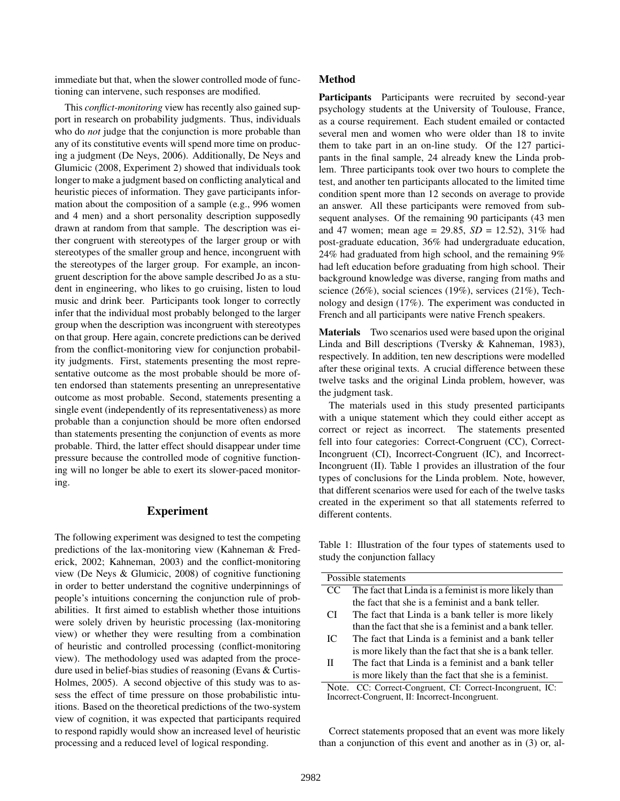immediate but that, when the slower controlled mode of functioning can intervene, such responses are modified.

This *conflict-monitoring* view has recently also gained support in research on probability judgments. Thus, individuals who do *not* judge that the conjunction is more probable than any of its constitutive events will spend more time on producing a judgment (De Neys, 2006). Additionally, De Neys and Glumicic (2008, Experiment 2) showed that individuals took longer to make a judgment based on conflicting analytical and heuristic pieces of information. They gave participants information about the composition of a sample (e.g., 996 women and 4 men) and a short personality description supposedly drawn at random from that sample. The description was either congruent with stereotypes of the larger group or with stereotypes of the smaller group and hence, incongruent with the stereotypes of the larger group. For example, an incongruent description for the above sample described Jo as a student in engineering, who likes to go cruising, listen to loud music and drink beer. Participants took longer to correctly infer that the individual most probably belonged to the larger group when the description was incongruent with stereotypes on that group. Here again, concrete predictions can be derived from the conflict-monitoring view for conjunction probability judgments. First, statements presenting the most representative outcome as the most probable should be more often endorsed than statements presenting an unrepresentative outcome as most probable. Second, statements presenting a single event (independently of its representativeness) as more probable than a conjunction should be more often endorsed than statements presenting the conjunction of events as more probable. Third, the latter effect should disappear under time pressure because the controlled mode of cognitive functioning will no longer be able to exert its slower-paced monitoring.

#### Experiment

The following experiment was designed to test the competing predictions of the lax-monitoring view (Kahneman & Frederick, 2002; Kahneman, 2003) and the conflict-monitoring view (De Neys & Glumicic, 2008) of cognitive functioning in order to better understand the cognitive underpinnings of people's intuitions concerning the conjunction rule of probabilities. It first aimed to establish whether those intuitions were solely driven by heuristic processing (lax-monitoring view) or whether they were resulting from a combination of heuristic and controlled processing (conflict-monitoring view). The methodology used was adapted from the procedure used in belief-bias studies of reasoning (Evans & Curtis-Holmes, 2005). A second objective of this study was to assess the effect of time pressure on those probabilistic intuitions. Based on the theoretical predictions of the two-system view of cognition, it was expected that participants required to respond rapidly would show an increased level of heuristic processing and a reduced level of logical responding.

#### Method

Participants Participants were recruited by second-year psychology students at the University of Toulouse, France, as a course requirement. Each student emailed or contacted several men and women who were older than 18 to invite them to take part in an on-line study. Of the 127 participants in the final sample, 24 already knew the Linda problem. Three participants took over two hours to complete the test, and another ten participants allocated to the limited time condition spent more than 12 seconds on average to provide an answer. All these participants were removed from subsequent analyses. Of the remaining 90 participants (43 men and 47 women; mean age = 29.85, *SD* = 12.52), 31% had post-graduate education, 36% had undergraduate education, 24% had graduated from high school, and the remaining 9% had left education before graduating from high school. Their background knowledge was diverse, ranging from maths and science (26%), social sciences (19%), services (21%), Technology and design (17%). The experiment was conducted in French and all participants were native French speakers.

Materials Two scenarios used were based upon the original Linda and Bill descriptions (Tversky & Kahneman, 1983), respectively. In addition, ten new descriptions were modelled after these original texts. A crucial difference between these twelve tasks and the original Linda problem, however, was the judgment task.

The materials used in this study presented participants with a unique statement which they could either accept as correct or reject as incorrect. The statements presented fell into four categories: Correct-Congruent (CC), Correct-Incongruent (CI), Incorrect-Congruent (IC), and Incorrect-Incongruent (II). Table 1 provides an illustration of the four types of conclusions for the Linda problem. Note, however, that different scenarios were used for each of the twelve tasks created in the experiment so that all statements referred to different contents.

Table 1: Illustration of the four types of statements used to study the conjunction fallacy

| Possible statements                                       |                                                         |  |  |
|-----------------------------------------------------------|---------------------------------------------------------|--|--|
| CC                                                        | The fact that Linda is a feminist is more likely than   |  |  |
|                                                           | the fact that she is a feminist and a bank teller.      |  |  |
| CI                                                        | The fact that Linda is a bank teller is more likely     |  |  |
|                                                           | than the fact that she is a feminist and a bank teller. |  |  |
| IC                                                        | The fact that Linda is a feminist and a bank teller     |  |  |
|                                                           | is more likely than the fact that she is a bank teller. |  |  |
| H                                                         | The fact that Linda is a feminist and a bank teller     |  |  |
|                                                           | is more likely than the fact that she is a feminist.    |  |  |
| Note. CC: Correct-Congruent, CI: Correct-Incongruent, IC: |                                                         |  |  |
| Incorrect-Congruent, II: Incorrect-Incongruent.           |                                                         |  |  |

Correct statements proposed that an event was more likely than a conjunction of this event and another as in (3) or, al-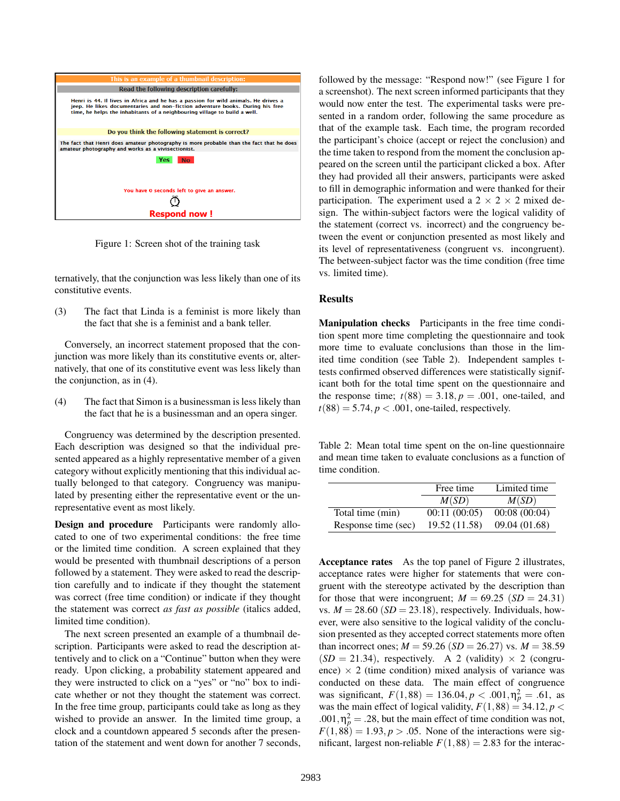

Figure 1: Screen shot of the training task

ternatively, that the conjunction was less likely than one of its constitutive events.

(3) The fact that Linda is a feminist is more likely than the fact that she is a feminist and a bank teller.

Conversely, an incorrect statement proposed that the conjunction was more likely than its constitutive events or, alternatively, that one of its constitutive event was less likely than the conjunction, as in (4).

(4) The fact that Simon is a businessman is less likely than the fact that he is a businessman and an opera singer.

Congruency was determined by the description presented. Each description was designed so that the individual presented appeared as a highly representative member of a given category without explicitly mentioning that this individual actually belonged to that category. Congruency was manipulated by presenting either the representative event or the unrepresentative event as most likely.

Design and procedure Participants were randomly allocated to one of two experimental conditions: the free time or the limited time condition. A screen explained that they would be presented with thumbnail descriptions of a person followed by a statement. They were asked to read the description carefully and to indicate if they thought the statement was correct (free time condition) or indicate if they thought the statement was correct *as fast as possible* (italics added, limited time condition).

The next screen presented an example of a thumbnail description. Participants were asked to read the description attentively and to click on a "Continue" button when they were ready. Upon clicking, a probability statement appeared and they were instructed to click on a "yes" or "no" box to indicate whether or not they thought the statement was correct. In the free time group, participants could take as long as they wished to provide an answer. In the limited time group, a clock and a countdown appeared 5 seconds after the presentation of the statement and went down for another 7 seconds,

followed by the message: "Respond now!" (see Figure 1 for a screenshot). The next screen informed participants that they would now enter the test. The experimental tasks were presented in a random order, following the same procedure as that of the example task. Each time, the program recorded the participant's choice (accept or reject the conclusion) and the time taken to respond from the moment the conclusion appeared on the screen until the participant clicked a box. After they had provided all their answers, participants were asked to fill in demographic information and were thanked for their participation. The experiment used a  $2 \times 2 \times 2$  mixed design. The within-subject factors were the logical validity of the statement (correct vs. incorrect) and the congruency between the event or conjunction presented as most likely and its level of representativeness (congruent vs. incongruent). The between-subject factor was the time condition (free time vs. limited time).

#### Results

Manipulation checks Participants in the free time condition spent more time completing the questionnaire and took more time to evaluate conclusions than those in the limited time condition (see Table 2). Independent samples ttests confirmed observed differences were statistically significant both for the total time spent on the questionnaire and the response time;  $t(88) = 3.18, p = .001$ , one-tailed, and  $t(88) = 5.74$ ,  $p < .001$ , one-tailed, respectively.

Table 2: Mean total time spent on the on-line questionnaire and mean time taken to evaluate conclusions as a function of time condition.

|                     | Free time     | Limited time  |
|---------------------|---------------|---------------|
|                     | M(SD)         | M(SD)         |
| Total time (min)    | 00:11(00:05)  | 00:08(00:04)  |
| Response time (sec) | 19.52 (11.58) | 09.04 (01.68) |

Acceptance rates As the top panel of Figure 2 illustrates, acceptance rates were higher for statements that were congruent with the stereotype activated by the description than for those that were incongruent;  $M = 69.25$  ( $SD = 24.31$ ) vs.  $M = 28.60$  ( $SD = 23.18$ ), respectively. Individuals, however, were also sensitive to the logical validity of the conclusion presented as they accepted correct statements more often than incorrect ones;  $M = 59.26$  (*SD* = 26.27) vs.  $M = 38.59$  $(SD = 21.34)$ , respectively. A 2 (validity)  $\times$  2 (congruence)  $\times$  2 (time condition) mixed analysis of variance was conducted on these data. The main effect of congruence was significant,  $F(1,88) = 136.04, p < .001, \eta_p^2 = .61$ , as was the main effect of logical validity,  $F(1,88) = 34.12$ ,  $p <$  $.001, \eta_p^2 = .28$ , but the main effect of time condition was not,  $F(1,88) = 1.93, p > .05$ . None of the interactions were significant, largest non-reliable  $F(1,88) = 2.83$  for the interac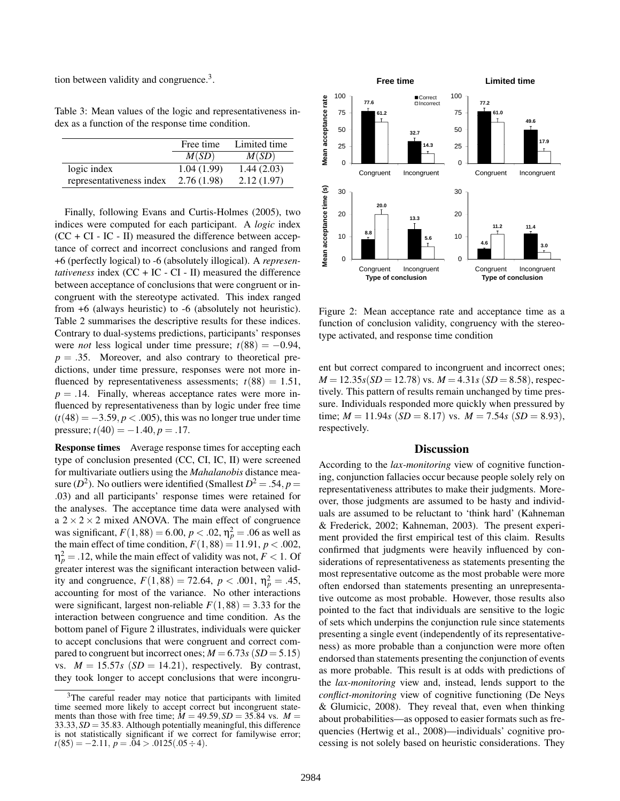tion between validity and congruence.<sup>3</sup>.

Table 3: Mean values of the logic and representativeness index as a function of the response time condition.

|                          | Free time  | Limited time |
|--------------------------|------------|--------------|
|                          | M(SD)      | M(SD)        |
| logic index              | 1.04(1.99) | 1.44(2.03)   |
| representativeness index | 2.76(1.98) | 2.12(1.97)   |

Finally, following Evans and Curtis-Holmes (2005), two indices were computed for each participant. A *logic* index  $(CC + CI - IC - II)$  measured the difference between acceptance of correct and incorrect conclusions and ranged from +6 (perfectly logical) to -6 (absolutely illogical). A *representativeness* index (CC + IC - CI - II) measured the difference between acceptance of conclusions that were congruent or incongruent with the stereotype activated. This index ranged from +6 (always heuristic) to -6 (absolutely not heuristic). Table 2 summarises the descriptive results for these indices. Contrary to dual-systems predictions, participants' responses were *not* less logical under time pressure;  $t(88) = -0.94$ ,  $p = .35$ . Moreover, and also contrary to theoretical predictions, under time pressure, responses were not more influenced by representativeness assessments;  $t(88) = 1.51$ ,  $p = .14$ . Finally, whereas acceptance rates were more influenced by representativeness than by logic under free time  $(t(48) = -3.59, p < .005)$ , this was no longer true under time pressure;  $t(40) = -1.40, p = .17$ .

Response times Average response times for accepting each type of conclusion presented (CC, CI, IC, II) were screened for multivariate outliers using the *Mahalanobis* distance measure ( $D^2$ ). No outliers were identified (Smallest  $D^2 = .54$ ,  $p =$ .03) and all participants' response times were retained for the analyses. The acceptance time data were analysed with a  $2 \times 2 \times 2$  mixed ANOVA. The main effect of congruence was significant,  $F(1,88) = 6.00, p < .02, \eta_p^2 = .06$  as well as the main effect of time condition,  $F(1,88) = 11.91$ ,  $p < .002$ ,  $\eta_p^2 = .12$ , while the main effect of validity was not,  $F < 1$ . Of greater interest was the significant interaction between validity and congruence,  $F(1,88) = 72.64$ ,  $p < .001$ ,  $\eta_p^2 = .45$ , accounting for most of the variance. No other interactions were significant, largest non-reliable  $F(1,88) = 3.33$  for the interaction between congruence and time condition. As the bottom panel of Figure 2 illustrates, individuals were quicker to accept conclusions that were congruent and correct compared to congruent but incorrect ones;  $M = 6.73s$  ( $SD = 5.15$ ) vs.  $M = 15.57s$  ( $SD = 14.21$ ), respectively. By contrast, they took longer to accept conclusions that were incongru-



Figure 2: Mean acceptance rate and acceptance time as a function of conclusion validity, congruency with the stereotype activated, and response time condition

ent but correct compared to incongruent and incorrect ones;  $M = 12.35s(SD = 12.78)$  vs.  $M = 4.31s(SD = 8.58)$ , respectively. This pattern of results remain unchanged by time pressure. Individuals responded more quickly when pressured by time;  $M = 11.94s$  (*SD* = 8.17) vs.  $M = 7.54s$  (*SD* = 8.93), respectively.

#### Discussion

According to the *lax-monitoring* view of cognitive functioning, conjunction fallacies occur because people solely rely on representativeness attributes to make their judgments. Moreover, those judgments are assumed to be hasty and individuals are assumed to be reluctant to 'think hard' (Kahneman & Frederick, 2002; Kahneman, 2003). The present experiment provided the first empirical test of this claim. Results confirmed that judgments were heavily influenced by considerations of representativeness as statements presenting the most representative outcome as the most probable were more often endorsed than statements presenting an unrepresentative outcome as most probable. However, those results also pointed to the fact that individuals are sensitive to the logic of sets which underpins the conjunction rule since statements presenting a single event (independently of its representativeness) as more probable than a conjunction were more often endorsed than statements presenting the conjunction of events as more probable. This result is at odds with predictions of the *lax-monitoring* view and, instead, lends support to the *conflict-monitoring* view of cognitive functioning (De Neys & Glumicic, 2008). They reveal that, even when thinking about probabilities—as opposed to easier formats such as frequencies (Hertwig et al., 2008)—individuals' cognitive processing is not solely based on heuristic considerations. They

<sup>&</sup>lt;sup>3</sup>The careful reader may notice that participants with limited time seemed more likely to accept correct but incongruent statements than those with free time;  $\dot{M} = 49.59$ ,  $SD = 35.84$  vs.  $M =$ 33.33,*SD* = 35.83. Although potentially meaningful, this difference is not statistically significant if we correct for familywise error;  $t(85) = -2.11, p = .04 > .0125(.05 \div 4).$